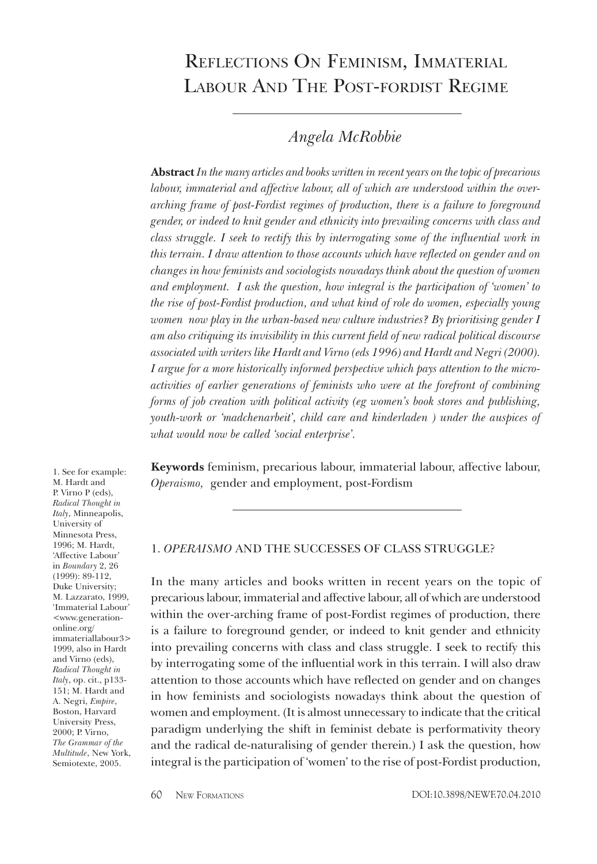# Reflections On Feminism, Immaterial Labour And The Post-fordist Regime

## *Angela McRobbie*

**Abstract** *In the many articles and books written in recent years on the topic of precarious labour, immaterial and affective labour, all of which are understood within the overarching frame of post-Fordist regimes of production, there is a failure to foreground gender, or indeed to knit gender and ethnicity into prevailing concerns with class and class struggle. I seek to rectify this by interrogating some of the influential work in this terrain. I draw attention to those accounts which have reflected on gender and on changes in how feminists and sociologists nowadays think about the question of women and employment. I ask the question, how integral is the participation of 'women' to the rise of post-Fordist production, and what kind of role do women, especially young women now play in the urban-based new culture industries? By prioritising gender I am also critiquing its invisibility in this current field of new radical political discourse associated with writers like Hardt and Virno (eds 1996) and Hardt and Negri (2000). I argue for a more historically informed perspective which pays attention to the microactivities of earlier generations of feminists who were at the forefront of combining forms of job creation with political activity (eg women's book stores and publishing, youth-work or 'madchenarbeit', child care and kinderladen ) under the auspices of what would now be called 'social enterprise'.* 

**Keywords** feminism, precarious labour, immaterial labour, affective labour, *Operaismo,* gender and employment, post-Fordism

## 1. *OPERAISMO* AND THE SUCCESSES OF CLASS STRUGGLE?

In the many articles and books written in recent years on the topic of precarious labour, immaterial and affective labour, all of which are understood within the over-arching frame of post-Fordist regimes of production, there is a failure to foreground gender, or indeed to knit gender and ethnicity into prevailing concerns with class and class struggle. I seek to rectify this by interrogating some of the influential work in this terrain. I will also draw attention to those accounts which have reflected on gender and on changes in how feminists and sociologists nowadays think about the question of women and employment. (It is almost unnecessary to indicate that the critical paradigm underlying the shift in feminist debate is performativity theory and the radical de-naturalising of gender therein.) I ask the question, how integral is the participation of 'women' to the rise of post-Fordist production,

1. See for example: M. Hardt and P. Virno P (eds), *Radical Thought in Italy*, Minneapolis, University of Minnesota Press, 1996; M. Hardt, 'Affective Labour' in *Boundary* 2, 26 (1999): 89-112, Duke University; M. Lazzarato, 1999, 'Immaterial Labour' <www.generationonline.org/ immateriallabour3> 1999, also in Hardt and Virno (eds), *Radical Thought in Italy*, op. cit., p133- 151; M. Hardt and A. Negri, *Empire*, Boston, Harvard University Press, 2000; P. Virno, *The Grammar of the Multitude*, New York, Semiotexte, 2005.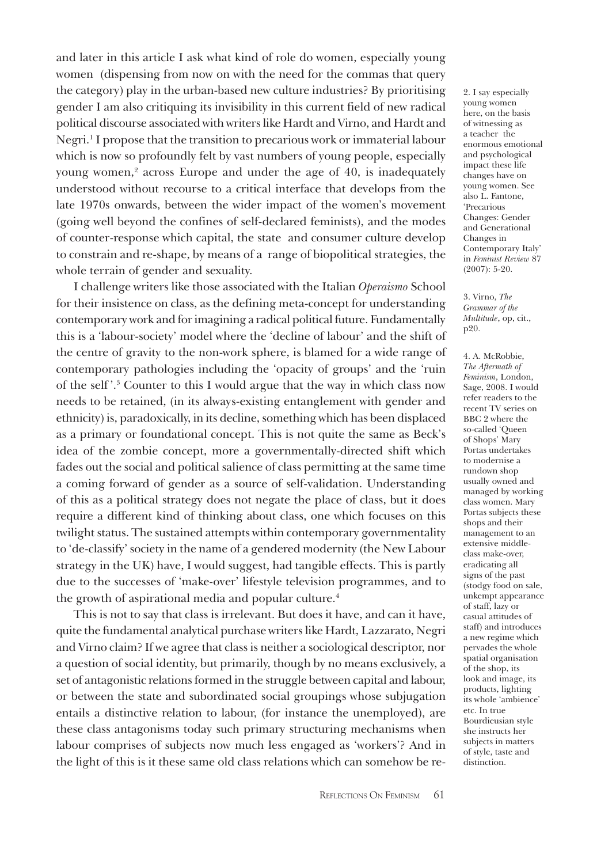and later in this article I ask what kind of role do women, especially young women (dispensing from now on with the need for the commas that query the category) play in the urban-based new culture industries? By prioritising gender I am also critiquing its invisibility in this current field of new radical political discourse associated with writers like Hardt and Virno, and Hardt and Negri.<sup>1</sup> I propose that the transition to precarious work or immaterial labour which is now so profoundly felt by vast numbers of young people, especially young women,<sup>2</sup> across Europe and under the age of 40, is inadequately understood without recourse to a critical interface that develops from the late 1970s onwards, between the wider impact of the women's movement (going well beyond the confines of self-declared feminists), and the modes of counter-response which capital, the state and consumer culture develop to constrain and re-shape, by means of a range of biopolitical strategies, the whole terrain of gender and sexuality.

I challenge writers like those associated with the Italian *Operaismo* School for their insistence on class, as the defining meta-concept for understanding contemporary work and for imagining a radical political future. Fundamentally this is a 'labour-society' model where the 'decline of labour' and the shift of the centre of gravity to the non-work sphere, is blamed for a wide range of contemporary pathologies including the 'opacity of groups' and the 'ruin of the self '.3 Counter to this I would argue that the way in which class now needs to be retained, (in its always-existing entanglement with gender and ethnicity) is, paradoxically, in its decline, something which has been displaced as a primary or foundational concept. This is not quite the same as Beck's idea of the zombie concept, more a governmentally-directed shift which fades out the social and political salience of class permitting at the same time a coming forward of gender as a source of self-validation. Understanding of this as a political strategy does not negate the place of class, but it does require a different kind of thinking about class, one which focuses on this twilight status. The sustained attempts within contemporary governmentality to 'de-classify' society in the name of a gendered modernity (the New Labour strategy in the UK) have, I would suggest, had tangible effects. This is partly due to the successes of 'make-over' lifestyle television programmes, and to the growth of aspirational media and popular culture.<sup>4</sup>

This is not to say that class is irrelevant. But does it have, and can it have, quite the fundamental analytical purchase writers like Hardt, Lazzarato, Negri and Virno claim? If we agree that class is neither a sociological descriptor, nor a question of social identity, but primarily, though by no means exclusively, a set of antagonistic relations formed in the struggle between capital and labour, or between the state and subordinated social groupings whose subjugation entails a distinctive relation to labour, (for instance the unemployed), are these class antagonisms today such primary structuring mechanisms when labour comprises of subjects now much less engaged as 'workers'? And in the light of this is it these same old class relations which can somehow be re-

2. I say especially young women here, on the basis of witnessing as a teacher the enormous emotional and psychological impact these life changes have on young women. See also L. Fantone, 'Precarious Changes: Gender and Generational Changes in Contemporary Italy' in *Feminist Review* 87 (2007): 5-20.

3. Virno, *The Grammar of the Multitude*, op, cit., p20.

4. A. McRobbie, *The Aftermath of Feminism*, London, Sage, 2008. I would refer readers to the recent TV series on BBC 2 where the so-called 'Queen of Shops' Mary Portas undertakes to modernise a rundown shop usually owned and managed by working class women. Mary Portas subjects these shops and their management to an extensive middleclass make-over, eradicating all signs of the past (stodgy food on sale, unkempt appearance of staff, lazy or casual attitudes of staff) and introduces a new regime which pervades the whole spatial organisation of the shop, its look and image, its products, lighting its whole 'ambience' etc. In true Bourdieusian style she instructs her subjects in matters of style, taste and distinction.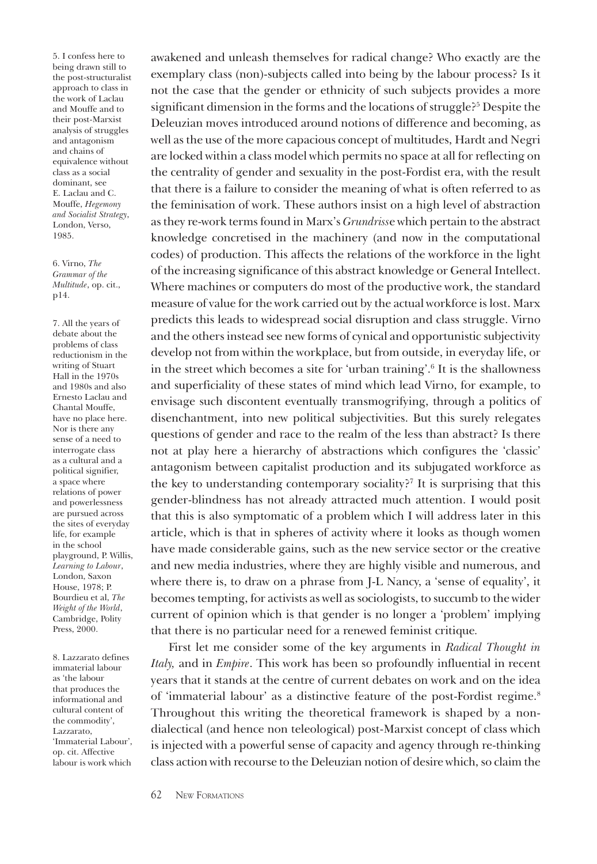5. I confess here to being drawn still to the post-structuralist approach to class in the work of Laclau and Mouffe and to their post-Marxist analysis of struggles and antagonism and chains of equivalence without class as a social dominant, see E. Laclau and C. Mouffe, *Hegemony and Socialist Strategy*, London, Verso, 1985.

6. Virno, *The Grammar of the Multitude*, op. cit., p14.

7. All the years of debate about the problems of class reductionism in the writing of Stuart Hall in the 1970s and 1980s and also Ernesto Laclau and Chantal Mouffe, have no place here. Nor is there any sense of a need to interrogate class as a cultural and a political signifier, a space where relations of power and powerlessness are pursued across the sites of everyday life, for example in the school playground, P. Willis, *Learning to Labour*, London, Saxon House, 1978; P. Bourdieu et al, *The Weight of the World*, Cambridge, Polity Press, 2000.

8. Lazzarato defines immaterial labour as 'the labour that produces the informational and cultural content of the commodity', Lazzarato, 'Immaterial Labour', op. cit. Affective labour is work which

awakened and unleash themselves for radical change? Who exactly are the exemplary class (non)-subjects called into being by the labour process? Is it not the case that the gender or ethnicity of such subjects provides a more significant dimension in the forms and the locations of struggle?5 Despite the Deleuzian moves introduced around notions of difference and becoming, as well as the use of the more capacious concept of multitudes, Hardt and Negri are locked within a class model which permits no space at all for reflecting on the centrality of gender and sexuality in the post-Fordist era, with the result that there is a failure to consider the meaning of what is often referred to as the feminisation of work. These authors insist on a high level of abstraction as they re-work terms found in Marx's *Grundriss*e which pertain to the abstract knowledge concretised in the machinery (and now in the computational codes) of production. This affects the relations of the workforce in the light of the increasing significance of this abstract knowledge or General Intellect. Where machines or computers do most of the productive work, the standard measure of value for the work carried out by the actual workforce is lost. Marx predicts this leads to widespread social disruption and class struggle. Virno and the others instead see new forms of cynical and opportunistic subjectivity develop not from within the workplace, but from outside, in everyday life, or in the street which becomes a site for 'urban training'.6 It is the shallowness and superficiality of these states of mind which lead Virno, for example, to envisage such discontent eventually transmogrifying, through a politics of disenchantment, into new political subjectivities. But this surely relegates questions of gender and race to the realm of the less than abstract? Is there not at play here a hierarchy of abstractions which configures the 'classic' antagonism between capitalist production and its subjugated workforce as the key to understanding contemporary sociality?7 It is surprising that this gender-blindness has not already attracted much attention. I would posit that this is also symptomatic of a problem which I will address later in this article, which is that in spheres of activity where it looks as though women have made considerable gains, such as the new service sector or the creative and new media industries, where they are highly visible and numerous, and where there is, to draw on a phrase from J-L Nancy, a 'sense of equality', it becomes tempting, for activists as well as sociologists, to succumb to the wider current of opinion which is that gender is no longer a 'problem' implying that there is no particular need for a renewed feminist critique*.* 

First let me consider some of the key arguments in *Radical Thought in Italy,* and in *Empire*. This work has been so profoundly influential in recent years that it stands at the centre of current debates on work and on the idea of 'immaterial labour' as a distinctive feature of the post-Fordist regime.<sup>8</sup> Throughout this writing the theoretical framework is shaped by a nondialectical (and hence non teleological) post-Marxist concept of class which is injected with a powerful sense of capacity and agency through re-thinking class action with recourse to the Deleuzian notion of desire which, so claim the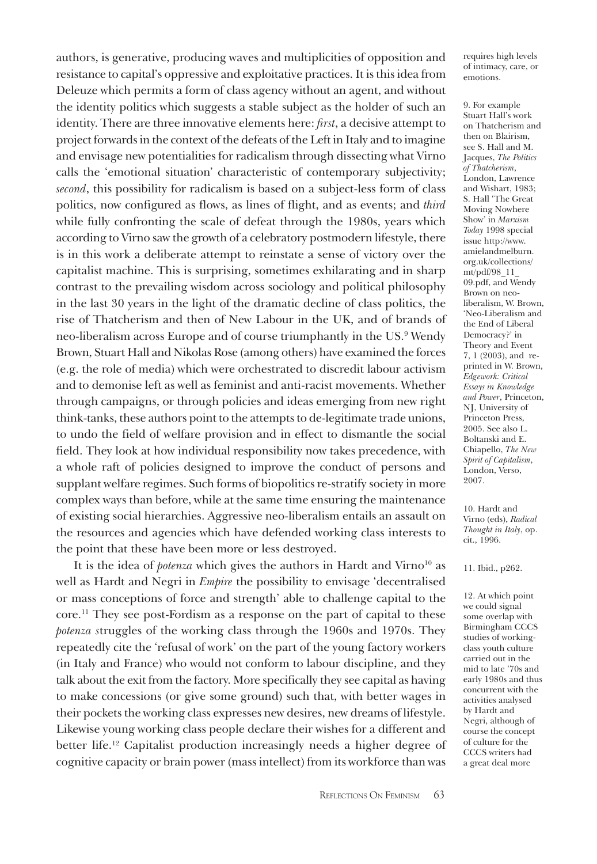authors, is generative, producing waves and multiplicities of opposition and resistance to capital's oppressive and exploitative practices. It is this idea from Deleuze which permits a form of class agency without an agent, and without the identity politics which suggests a stable subject as the holder of such an identity. There are three innovative elements here: *first*, a decisive attempt to project forwards in the context of the defeats of the Left in Italy and to imagine and envisage new potentialities for radicalism through dissecting what Virno calls the 'emotional situation' characteristic of contemporary subjectivity; *second*, this possibility for radicalism is based on a subject-less form of class politics, now configured as flows, as lines of flight, and as events; and *third* while fully confronting the scale of defeat through the 1980s, years which according to Virno saw the growth of a celebratory postmodern lifestyle, there is in this work a deliberate attempt to reinstate a sense of victory over the capitalist machine. This is surprising, sometimes exhilarating and in sharp contrast to the prevailing wisdom across sociology and political philosophy in the last 30 years in the light of the dramatic decline of class politics, the rise of Thatcherism and then of New Labour in the UK, and of brands of neo-liberalism across Europe and of course triumphantly in the US.9 Wendy Brown, Stuart Hall and Nikolas Rose (among others) have examined the forces (e.g. the role of media) which were orchestrated to discredit labour activism and to demonise left as well as feminist and anti-racist movements. Whether through campaigns, or through policies and ideas emerging from new right think-tanks, these authors point to the attempts to de-legitimate trade unions, to undo the field of welfare provision and in effect to dismantle the social field. They look at how individual responsibility now takes precedence, with a whole raft of policies designed to improve the conduct of persons and supplant welfare regimes. Such forms of biopolitics re-stratify society in more complex ways than before, while at the same time ensuring the maintenance of existing social hierarchies. Aggressive neo-liberalism entails an assault on the resources and agencies which have defended working class interests to the point that these have been more or less destroyed.

It is the idea of *potenza* which gives the authors in Hardt and Virno<sup>10</sup> as well as Hardt and Negri in *Empire* the possibility to envisage 'decentralised or mass conceptions of force and strength' able to challenge capital to the core.11 They see post-Fordism as a response on the part of capital to these *potenza s*truggles of the working class through the 1960s and 1970s. They repeatedly cite the 'refusal of work' on the part of the young factory workers (in Italy and France) who would not conform to labour discipline, and they talk about the exit from the factory. More specifically they see capital as having to make concessions (or give some ground) such that, with better wages in their pockets the working class expresses new desires, new dreams of lifestyle. Likewise young working class people declare their wishes for a different and better life.12 Capitalist production increasingly needs a higher degree of cognitive capacity or brain power (mass intellect) from its workforce than was

requires high levels of intimacy, care, or emotions.

9. For example Stuart Hall's work on Thatcherism and then on Blairism, see S. Hall and M. Jacques, *The Politics of Thatcherism*, London, Lawrence and Wishart, 1983; S. Hall 'The Great Moving Nowhere Show' in *Marxism Today* 1998 special issue http://www. amielandmelburn. org.uk/collections/ mt/pdf/98\_11\_ 09.pdf, and Wendy Brown on neoliberalism, W. Brown, 'Neo-Liberalism and the End of Liberal Democracy?' in Theory and Event 7, 1 (2003), and reprinted in W. Brown, *Edgework: Critical Essays in Knowledge and Power*, Princeton, NJ, University of Princeton Press, 2005. See also L. Boltanski and E. Chiapello, *The New Spirit of Capitalism*, London, Verso, 2007.

10. Hardt and Virno (eds), *Radical Thought in Italy*, op. cit., 1996.

#### 11. Ibid., p262.

12. At which point we could signal some overlap with Birmingham CCCS studies of workingclass youth culture carried out in the mid to late '70s and early 1980s and thus concurrent with the activities analysed by Hardt and Negri, although of course the concept of culture for the CCCS writers had a great deal more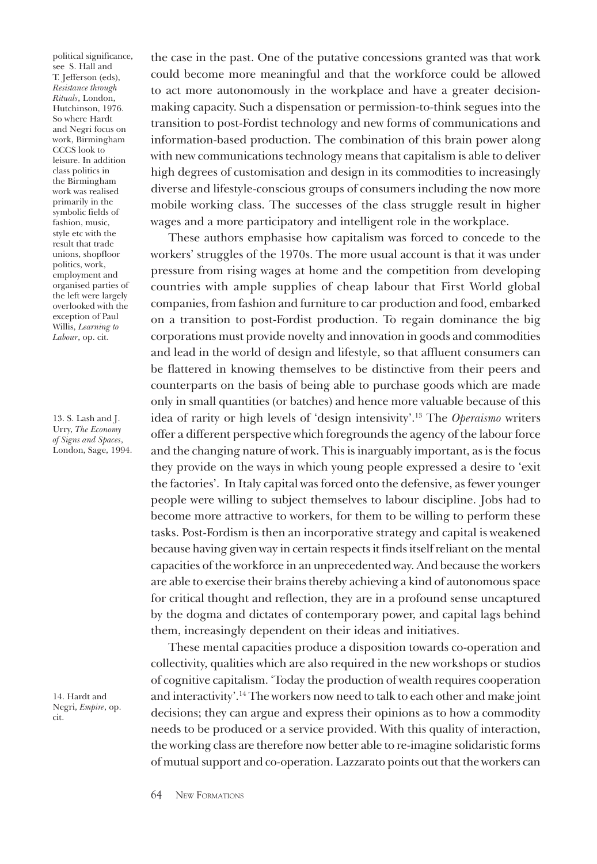political significance, see S. Hall and T. Jefferson (eds), *Resistance through Rituals*, London, Hutchinson, 1976. So where Hardt and Negri focus on work, Birmingham CCCS look to leisure. In addition class politics in the Birmingham work was realised primarily in the symbolic fields of fashion, music, style etc with the result that trade unions, shopfloor politics, work, employment and organised parties of the left were largely overlooked with the exception of Paul Willis, *Learning to Labour*, op. cit.

13. S. Lash and J. Urry, *The Economy of Signs and Spaces*, London, Sage, 1994.

14. Hardt and Negri, *Empire*, op. cit.

the case in the past. One of the putative concessions granted was that work could become more meaningful and that the workforce could be allowed to act more autonomously in the workplace and have a greater decisionmaking capacity. Such a dispensation or permission-to-think segues into the transition to post-Fordist technology and new forms of communications and information-based production. The combination of this brain power along with new communications technology means that capitalism is able to deliver high degrees of customisation and design in its commodities to increasingly diverse and lifestyle-conscious groups of consumers including the now more mobile working class. The successes of the class struggle result in higher wages and a more participatory and intelligent role in the workplace.

These authors emphasise how capitalism was forced to concede to the workers' struggles of the 1970s. The more usual account is that it was under pressure from rising wages at home and the competition from developing countries with ample supplies of cheap labour that First World global companies, from fashion and furniture to car production and food, embarked on a transition to post-Fordist production. To regain dominance the big corporations must provide novelty and innovation in goods and commodities and lead in the world of design and lifestyle, so that affluent consumers can be flattered in knowing themselves to be distinctive from their peers and counterparts on the basis of being able to purchase goods which are made only in small quantities (or batches) and hence more valuable because of this idea of rarity or high levels of 'design intensivity'.13 The *Operaismo* writers offer a different perspective which foregrounds the agency of the labour force and the changing nature of work. This is inarguably important, as is the focus they provide on the ways in which young people expressed a desire to 'exit the factories'. In Italy capital was forced onto the defensive, as fewer younger people were willing to subject themselves to labour discipline. Jobs had to become more attractive to workers, for them to be willing to perform these tasks. Post-Fordism is then an incorporative strategy and capital is weakened because having given way in certain respects it finds itself reliant on the mental capacities of the workforce in an unprecedented way. And because the workers are able to exercise their brains thereby achieving a kind of autonomous space for critical thought and reflection, they are in a profound sense uncaptured by the dogma and dictates of contemporary power, and capital lags behind them, increasingly dependent on their ideas and initiatives.

These mental capacities produce a disposition towards co-operation and collectivity, qualities which are also required in the new workshops or studios of cognitive capitalism. 'Today the production of wealth requires cooperation and interactivity'.14 The workers now need to talk to each other and make joint decisions; they can argue and express their opinions as to how a commodity needs to be produced or a service provided. With this quality of interaction, the working class are therefore now better able to re-imagine solidaristic forms of mutual support and co-operation. Lazzarato points out that the workers can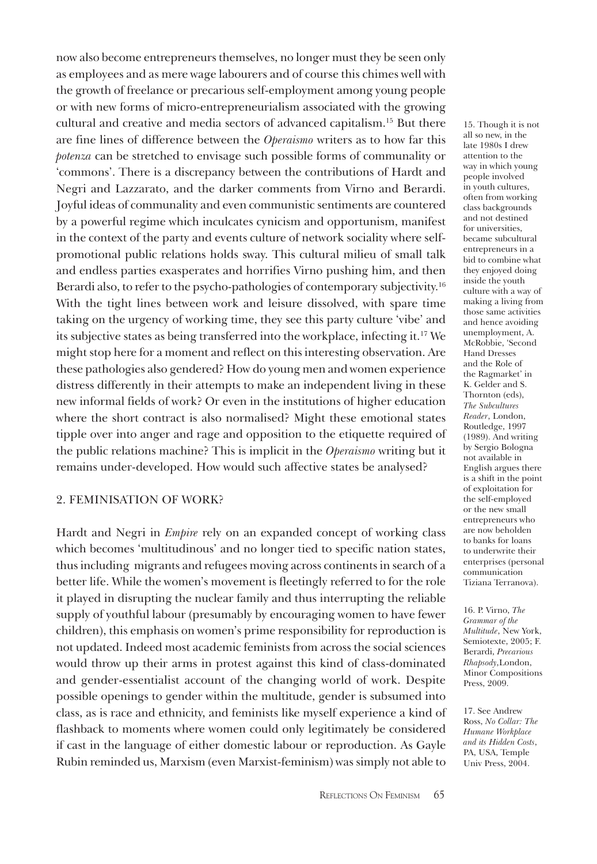now also become entrepreneurs themselves, no longer must they be seen only as employees and as mere wage labourers and of course this chimes well with the growth of freelance or precarious self-employment among young people or with new forms of micro-entrepreneurialism associated with the growing cultural and creative and media sectors of advanced capitalism.15 But there are fine lines of difference between the *Operaismo* writers as to how far this *potenza* can be stretched to envisage such possible forms of communality or 'commons'. There is a discrepancy between the contributions of Hardt and Negri and Lazzarato, and the darker comments from Virno and Berardi. Joyful ideas of communality and even communistic sentiments are countered by a powerful regime which inculcates cynicism and opportunism, manifest in the context of the party and events culture of network sociality where selfpromotional public relations holds sway. This cultural milieu of small talk and endless parties exasperates and horrifies Virno pushing him, and then Berardi also, to refer to the psycho-pathologies of contemporary subjectivity.16 With the tight lines between work and leisure dissolved, with spare time taking on the urgency of working time, they see this party culture 'vibe' and its subjective states as being transferred into the workplace, infecting it.17 We might stop here for a moment and reflect on this interesting observation. Are these pathologies also gendered? How do young men and women experience distress differently in their attempts to make an independent living in these new informal fields of work? Or even in the institutions of higher education where the short contract is also normalised? Might these emotional states tipple over into anger and rage and opposition to the etiquette required of the public relations machine? This is implicit in the *Operaismo* writing but it remains under-developed. How would such affective states be analysed?

## 2. FEMINISATION OF WORK?

Hardt and Negri in *Empire* rely on an expanded concept of working class which becomes 'multitudinous' and no longer tied to specific nation states, thus including migrants and refugees moving across continents in search of a better life. While the women's movement is fleetingly referred to for the role it played in disrupting the nuclear family and thus interrupting the reliable supply of youthful labour (presumably by encouraging women to have fewer children), this emphasis on women's prime responsibility for reproduction is not updated. Indeed most academic feminists from across the social sciences would throw up their arms in protest against this kind of class-dominated and gender-essentialist account of the changing world of work. Despite possible openings to gender within the multitude, gender is subsumed into class, as is race and ethnicity, and feminists like myself experience a kind of flashback to moments where women could only legitimately be considered if cast in the language of either domestic labour or reproduction. As Gayle Rubin reminded us, Marxism (even Marxist-feminism) was simply not able to

15. Though it is not all so new, in the late 1980s I drew attention to the way in which young people involved in youth cultures, often from working class backgrounds and not destined for universities, became subcultural entrepreneurs in a bid to combine what they enjoyed doing inside the youth culture with a way of making a living from those same activities and hence avoiding unemployment, A. McRobbie, 'Second Hand Dresses and the Role of the Ragmarket' in K. Gelder and S. Thornton (eds), *The Subcultures Reader*, London, Routledge, 1997 (1989). And writing by Sergio Bologna not available in English argues there is a shift in the point of exploitation for the self-employed or the new small entrepreneurs who are now beholden to banks for loans to underwrite their enterprises (personal communication Tiziana Terranova).

16. P. Virno, *The Grammar of the Multitude*, New York, Semiotexte, 2005; F. Berardi, *Precarious Rhapsody*,London, Minor Compositions Press, 2009.

17. See Andrew Ross, *No Collar: The Humane Workplace and its Hidden Costs*, PA, USA, Temple Univ Press, 2004.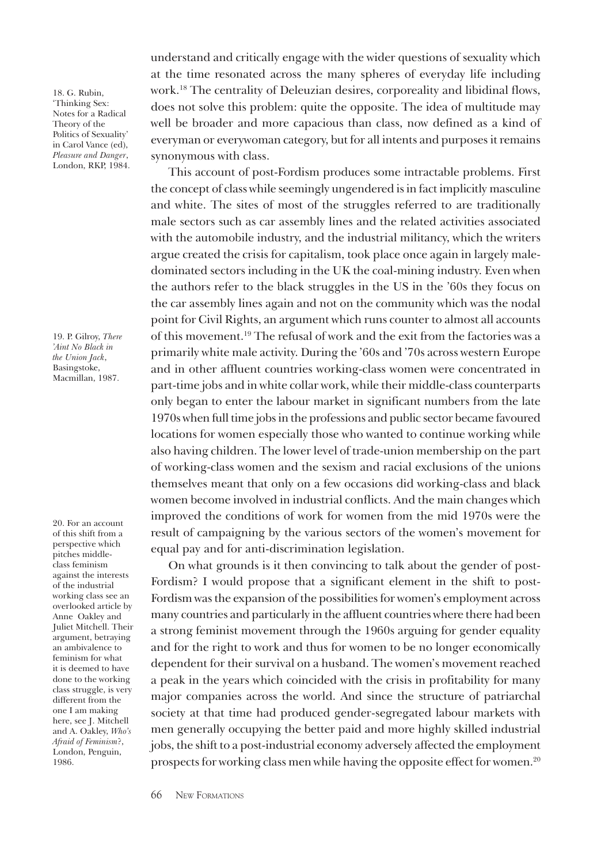18. G. Rubin, 'Thinking Sex: Notes for a Radical Theory of the Politics of Sexuality' in Carol Vance (ed), *Pleasure and Danger*, London, RKP, 1984.

19. P. Gilroy, *There 'Aint No Black in the Union Jack*, Basingstoke, Macmillan, 1987.

20. For an account of this shift from a perspective which pitches middleclass feminism against the interests of the industrial working class see an overlooked article by Anne Oakley and Juliet Mitchell. Their argument, betraying an ambivalence to feminism for what it is deemed to have done to the working class struggle, is very different from the one I am making here, see J. Mitchell and A. Oakley, *Who's Afraid of Feminism*?, London, Penguin, 1986.

understand and critically engage with the wider questions of sexuality which at the time resonated across the many spheres of everyday life including work.18 The centrality of Deleuzian desires, corporeality and libidinal flows, does not solve this problem: quite the opposite. The idea of multitude may well be broader and more capacious than class, now defined as a kind of everyman or everywoman category, but for all intents and purposes it remains synonymous with class.

This account of post-Fordism produces some intractable problems. First the concept of class while seemingly ungendered is in fact implicitly masculine and white. The sites of most of the struggles referred to are traditionally male sectors such as car assembly lines and the related activities associated with the automobile industry, and the industrial militancy, which the writers argue created the crisis for capitalism, took place once again in largely maledominated sectors including in the UK the coal-mining industry. Even when the authors refer to the black struggles in the US in the '60s they focus on the car assembly lines again and not on the community which was the nodal point for Civil Rights, an argument which runs counter to almost all accounts of this movement.19 The refusal of work and the exit from the factories was a primarily white male activity. During the '60s and '70s across western Europe and in other affluent countries working-class women were concentrated in part-time jobs and in white collar work, while their middle-class counterparts only began to enter the labour market in significant numbers from the late 1970s when full time jobs in the professions and public sector became favoured locations for women especially those who wanted to continue working while also having children. The lower level of trade-union membership on the part of working-class women and the sexism and racial exclusions of the unions themselves meant that only on a few occasions did working-class and black women become involved in industrial conflicts. And the main changes which improved the conditions of work for women from the mid 1970s were the result of campaigning by the various sectors of the women's movement for equal pay and for anti-discrimination legislation.

On what grounds is it then convincing to talk about the gender of post-Fordism? I would propose that a significant element in the shift to post-Fordism was the expansion of the possibilities for women's employment across many countries and particularly in the affluent countries where there had been a strong feminist movement through the 1960s arguing for gender equality and for the right to work and thus for women to be no longer economically dependent for their survival on a husband. The women's movement reached a peak in the years which coincided with the crisis in profitability for many major companies across the world. And since the structure of patriarchal society at that time had produced gender-segregated labour markets with men generally occupying the better paid and more highly skilled industrial jobs, the shift to a post-industrial economy adversely affected the employment prospects for working class men while having the opposite effect for women.20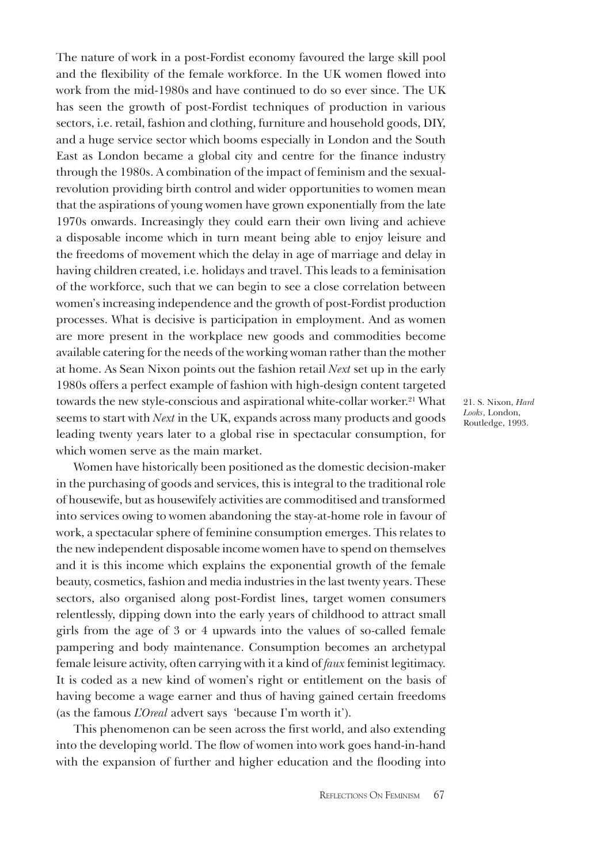The nature of work in a post-Fordist economy favoured the large skill pool and the flexibility of the female workforce. In the UK women flowed into work from the mid-1980s and have continued to do so ever since. The UK has seen the growth of post-Fordist techniques of production in various sectors, i.e. retail, fashion and clothing, furniture and household goods, DIY, and a huge service sector which booms especially in London and the South East as London became a global city and centre for the finance industry through the 1980s. A combination of the impact of feminism and the sexualrevolution providing birth control and wider opportunities to women mean that the aspirations of young women have grown exponentially from the late 1970s onwards. Increasingly they could earn their own living and achieve a disposable income which in turn meant being able to enjoy leisure and the freedoms of movement which the delay in age of marriage and delay in having children created, i.e. holidays and travel. This leads to a feminisation of the workforce, such that we can begin to see a close correlation between women's increasing independence and the growth of post-Fordist production processes. What is decisive is participation in employment. And as women are more present in the workplace new goods and commodities become available catering for the needs of the working woman rather than the mother at home. As Sean Nixon points out the fashion retail *Next* set up in the early 1980s offers a perfect example of fashion with high-design content targeted towards the new style-conscious and aspirational white-collar worker.<sup>21</sup> What seems to start with *Next* in the UK, expands across many products and goods leading twenty years later to a global rise in spectacular consumption, for which women serve as the main market.

Women have historically been positioned as the domestic decision-maker in the purchasing of goods and services, this is integral to the traditional role of housewife, but as housewifely activities are commoditised and transformed into services owing to women abandoning the stay-at-home role in favour of work, a spectacular sphere of feminine consumption emerges. This relates to the new independent disposable income women have to spend on themselves and it is this income which explains the exponential growth of the female beauty, cosmetics, fashion and media industries in the last twenty years. These sectors, also organised along post-Fordist lines, target women consumers relentlessly, dipping down into the early years of childhood to attract small girls from the age of 3 or 4 upwards into the values of so-called female pampering and body maintenance. Consumption becomes an archetypal female leisure activity, often carrying with it a kind of *faux* feminist legitimacy. It is coded as a new kind of women's right or entitlement on the basis of having become a wage earner and thus of having gained certain freedoms (as the famous *L'Oreal* advert says 'because I'm worth it').

This phenomenon can be seen across the first world, and also extending into the developing world. The flow of women into work goes hand-in-hand with the expansion of further and higher education and the flooding into

21. S. Nixon, *Hard Looks*, London, Routledge, 1993.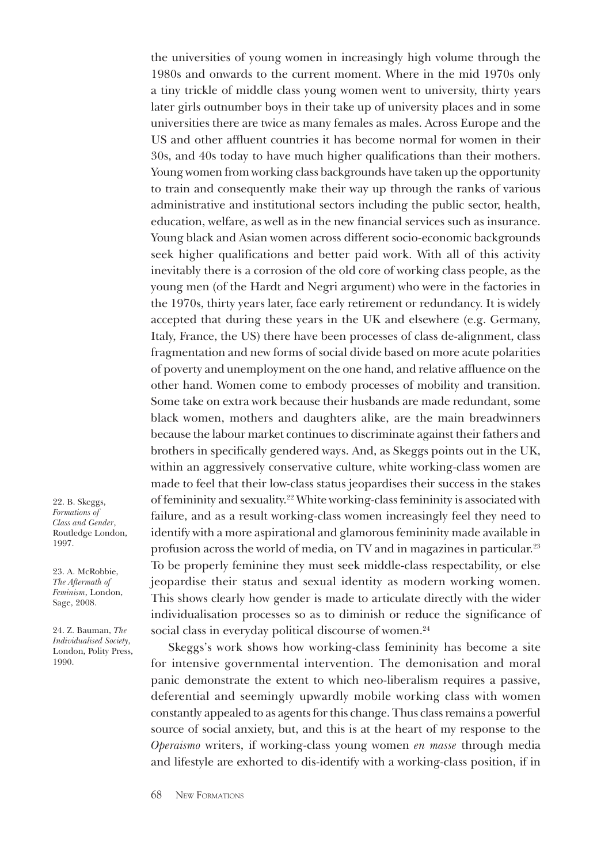the universities of young women in increasingly high volume through the 1980s and onwards to the current moment. Where in the mid 1970s only a tiny trickle of middle class young women went to university, thirty years later girls outnumber boys in their take up of university places and in some universities there are twice as many females as males. Across Europe and the US and other affluent countries it has become normal for women in their 30s, and 40s today to have much higher qualifications than their mothers. Young women from working class backgrounds have taken up the opportunity to train and consequently make their way up through the ranks of various administrative and institutional sectors including the public sector, health, education, welfare, as well as in the new financial services such as insurance. Young black and Asian women across different socio-economic backgrounds seek higher qualifications and better paid work. With all of this activity inevitably there is a corrosion of the old core of working class people, as the young men (of the Hardt and Negri argument) who were in the factories in the 1970s, thirty years later, face early retirement or redundancy. It is widely accepted that during these years in the UK and elsewhere (e.g. Germany, Italy, France, the US) there have been processes of class de-alignment, class fragmentation and new forms of social divide based on more acute polarities of poverty and unemployment on the one hand, and relative affluence on the other hand. Women come to embody processes of mobility and transition. Some take on extra work because their husbands are made redundant, some black women, mothers and daughters alike, are the main breadwinners because the labour market continues to discriminate against their fathers and brothers in specifically gendered ways. And, as Skeggs points out in the UK, within an aggressively conservative culture, white working-class women are made to feel that their low-class status jeopardises their success in the stakes of femininity and sexuality.22 White working-class femininity is associated with failure, and as a result working-class women increasingly feel they need to identify with a more aspirational and glamorous femininity made available in profusion across the world of media, on TV and in magazines in particular.<sup>23</sup> To be properly feminine they must seek middle-class respectability, or else jeopardise their status and sexual identity as modern working women. This shows clearly how gender is made to articulate directly with the wider individualisation processes so as to diminish or reduce the significance of social class in everyday political discourse of women.<sup>24</sup>

Skeggs's work shows how working-class femininity has become a site for intensive governmental intervention. The demonisation and moral panic demonstrate the extent to which neo-liberalism requires a passive, deferential and seemingly upwardly mobile working class with women constantly appealed to as agents for this change. Thus class remains a powerful source of social anxiety, but, and this is at the heart of my response to the *Operaismo* writers, if working-class young women *en masse* through media and lifestyle are exhorted to dis-identify with a working-class position, if in

22. B. Skeggs, *Formations of Class and Gender*, Routledge London, 1997.

23. A. McRobbie, *The Aftermath of Feminism*, London, Sage, 2008.

24. Z. Bauman, *The Individualised Society*, London, Polity Press, 1990.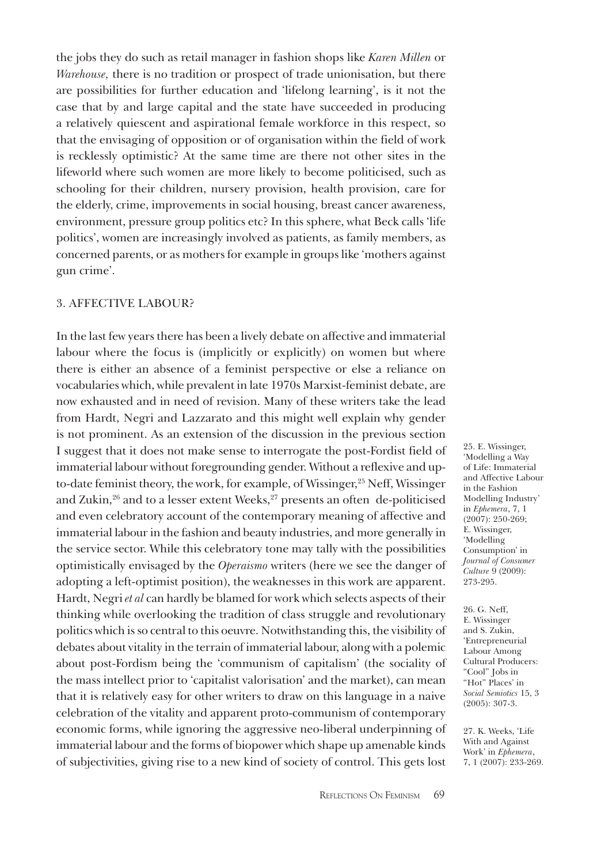the jobs they do such as retail manager in fashion shops like *Karen Millen* or *Warehouse,* there is no tradition or prospect of trade unionisation, but there are possibilities for further education and 'lifelong learning', is it not the case that by and large capital and the state have succeeded in producing a relatively quiescent and aspirational female workforce in this respect, so that the envisaging of opposition or of organisation within the field of work is recklessly optimistic? At the same time are there not other sites in the lifeworld where such women are more likely to become politicised, such as schooling for their children, nursery provision, health provision, care for the elderly, crime, improvements in social housing, breast cancer awareness, environment, pressure group politics etc? In this sphere, what Beck calls 'life politics', women are increasingly involved as patients, as family members, as concerned parents, or as mothers for example in groups like 'mothers against gun crime'.

## 3. AFFECTIVE LABOUR?

In the last few years there has been a lively debate on affective and immaterial labour where the focus is (implicitly or explicitly) on women but where there is either an absence of a feminist perspective or else a reliance on vocabularies which, while prevalent in late 1970s Marxist-feminist debate, are now exhausted and in need of revision. Many of these writers take the lead from Hardt, Negri and Lazzarato and this might well explain why gender is not prominent. As an extension of the discussion in the previous section I suggest that it does not make sense to interrogate the post-Fordist field of immaterial labour without foregrounding gender. Without a reflexive and upto-date feminist theory, the work, for example, of Wissinger,<sup>25</sup> Neff, Wissinger and Zukin,<sup>26</sup> and to a lesser extent Weeks,<sup>27</sup> presents an often de-politicised and even celebratory account of the contemporary meaning of affective and immaterial labour in the fashion and beauty industries, and more generally in the service sector. While this celebratory tone may tally with the possibilities optimistically envisaged by the *Operaismo* writers (here we see the danger of adopting a left-optimist position), the weaknesses in this work are apparent. Hardt, Negri *et al* can hardly be blamed for work which selects aspects of their thinking while overlooking the tradition of class struggle and revolutionary politics which is so central to this oeuvre. Notwithstanding this, the visibility of debates about vitality in the terrain of immaterial labour, along with a polemic about post-Fordism being the 'communism of capitalism' (the sociality of the mass intellect prior to 'capitalist valorisation' and the market), can mean that it is relatively easy for other writers to draw on this language in a naive celebration of the vitality and apparent proto-communism of contemporary economic forms, while ignoring the aggressive neo-liberal underpinning of immaterial labour and the forms of biopower which shape up amenable kinds of subjectivities, giving rise to a new kind of society of control. This gets lost

25. E. Wissinger, 'Modelling a Way of Life: Immaterial and Affective Labour in the Fashion Modelling Industry' in *Ephemera*, 7, 1 (2007): 250-269; E. Wissinger, 'Modelling Consumption' in *Journal of Consumer Culture* 9 (2009): 273-295.

26. G. Neff, E. Wissinger and S. Zukin, 'Entrepreneurial Labour Among Cultural Producers: "Cool" Jobs in "Hot" Places' in *Social Semiotics* 15, 3 (2005): 307-3.

27. K. Weeks, 'Life With and Against Work' in *Ephemera*, 7, 1 (2007): 233-269.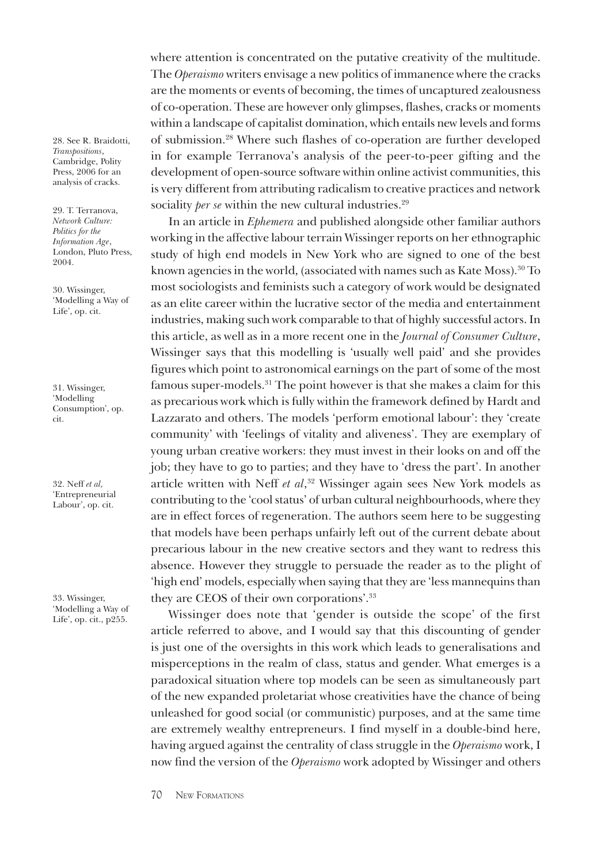28. See R. Braidotti, *Transpositions*, Cambridge, Polity Press, 2006 for an analysis of cracks.

29. T. Terranova, *Network Culture: Politics for the Information Age*, London, Pluto Press, 2004.

30. Wissinger, 'Modelling a Way of Life', op. cit.

31. Wissinger, 'Modelling Consumption', op. cit.

32. Neff *et al,* 'Entrepreneurial Labour', op. cit.

33. Wissinger, 'Modelling a Way of Life', op. cit., p255.

where attention is concentrated on the putative creativity of the multitude. The *Operaismo* writers envisage a new politics of immanence where the cracks are the moments or events of becoming, the times of uncaptured zealousness of co-operation. These are however only glimpses, flashes, cracks or moments within a landscape of capitalist domination, which entails new levels and forms of submission.28 Where such flashes of co-operation are further developed in for example Terranova's analysis of the peer-to-peer gifting and the development of open-source software within online activist communities, this is very different from attributing radicalism to creative practices and network sociality *per se* within the new cultural industries.<sup>29</sup>

In an article in *Ephemera* and published alongside other familiar authors working in the affective labour terrain Wissinger reports on her ethnographic study of high end models in New York who are signed to one of the best known agencies in the world, (associated with names such as Kate Moss).<sup>30</sup> To most sociologists and feminists such a category of work would be designated as an elite career within the lucrative sector of the media and entertainment industries, making such work comparable to that of highly successful actors. In this article, as well as in a more recent one in the *Journal of Consumer Culture*, Wissinger says that this modelling is 'usually well paid' and she provides figures which point to astronomical earnings on the part of some of the most famous super-models.31 The point however is that she makes a claim for this as precarious work which is fully within the framework defined by Hardt and Lazzarato and others. The models 'perform emotional labour': they 'create community' with 'feelings of vitality and aliveness'. They are exemplary of young urban creative workers: they must invest in their looks on and off the job; they have to go to parties; and they have to 'dress the part'. In another article written with Neff *et al*, 32 Wissinger again sees New York models as contributing to the 'cool status' of urban cultural neighbourhoods, where they are in effect forces of regeneration. The authors seem here to be suggesting that models have been perhaps unfairly left out of the current debate about precarious labour in the new creative sectors and they want to redress this absence. However they struggle to persuade the reader as to the plight of 'high end' models, especially when saying that they are 'less mannequins than they are CEOS of their own corporations'.33

Wissinger does note that 'gender is outside the scope' of the first article referred to above, and I would say that this discounting of gender is just one of the oversights in this work which leads to generalisations and misperceptions in the realm of class, status and gender. What emerges is a paradoxical situation where top models can be seen as simultaneously part of the new expanded proletariat whose creativities have the chance of being unleashed for good social (or communistic) purposes, and at the same time are extremely wealthy entrepreneurs. I find myself in a double-bind here, having argued against the centrality of class struggle in the *Operaismo* work, I now find the version of the *Operaismo* work adopted by Wissinger and others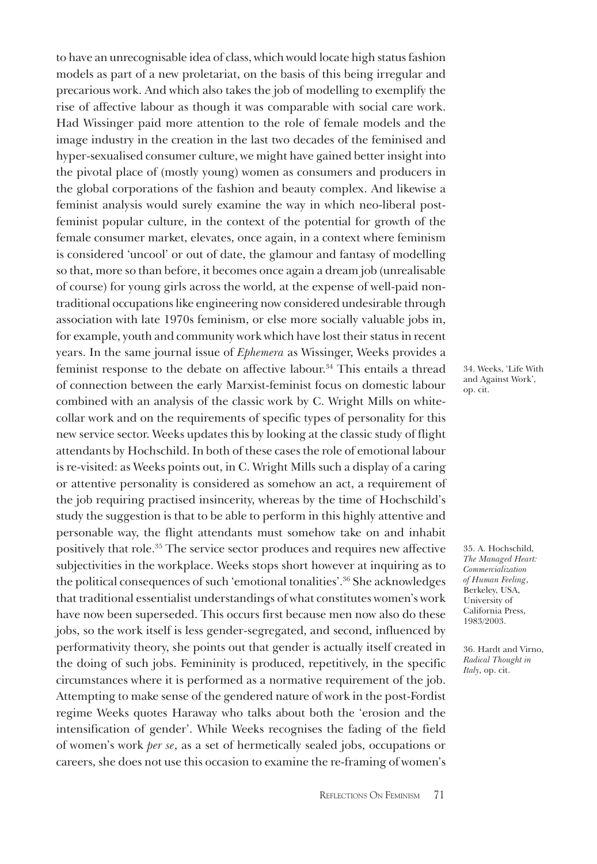to have an unrecognisable idea of class, which would locate high status fashion models as part of a new proletariat, on the basis of this being irregular and precarious work. And which also takes the job of modelling to exemplify the rise of affective labour as though it was comparable with social care work. Had Wissinger paid more attention to the role of female models and the image industry in the creation in the last two decades of the feminised and hyper-sexualised consumer culture, we might have gained better insight into the pivotal place of (mostly young) women as consumers and producers in the global corporations of the fashion and beauty complex. And likewise a feminist analysis would surely examine the way in which neo-liberal postfeminist popular culture, in the context of the potential for growth of the female consumer market, elevates, once again, in a context where feminism is considered 'uncool' or out of date, the glamour and fantasy of modelling so that, more so than before, it becomes once again a dream job (unrealisable of course) for young girls across the world, at the expense of well-paid nontraditional occupations like engineering now considered undesirable through association with late 1970s feminism, or else more socially valuable jobs in, for example, youth and community work which have lost their status in recent years. In the same journal issue of *Ephemera* as Wissinger, Weeks provides a feminist response to the debate on affective labour.<sup>34</sup> This entails a thread of connection between the early Marxist-feminist focus on domestic labour combined with an analysis of the classic work by C. Wright Mills on whitecollar work and on the requirements of specific types of personality for this new service sector. Weeks updates this by looking at the classic study of flight attendants by Hochschild. In both of these cases the role of emotional labour is re-visited: as Weeks points out, in C. Wright Mills such a display of a caring or attentive personality is considered as somehow an act, a requirement of the job requiring practised insincerity, whereas by the time of Hochschild's study the suggestion is that to be able to perform in this highly attentive and personable way, the flight attendants must somehow take on and inhabit positively that role.35 The service sector produces and requires new affective subjectivities in the workplace. Weeks stops short however at inquiring as to the political consequences of such 'emotional tonalities'.36 She acknowledges that traditional essentialist understandings of what constitutes women's work have now been superseded. This occurs first because men now also do these jobs, so the work itself is less gender-segregated, and second, influenced by performativity theory, she points out that gender is actually itself created in the doing of such jobs. Femininity is produced, repetitively, in the specific circumstances where it is performed as a normative requirement of the job. Attempting to make sense of the gendered nature of work in the post-Fordist regime Weeks quotes Haraway who talks about both the 'erosion and the intensification of gender'. While Weeks recognises the fading of the field of women's work *per se*, as a set of hermetically sealed jobs, occupations or careers, she does not use this occasion to examine the re-framing of women's

34. Weeks, 'Life With and Against Work', op. cit.

35. A. Hochschild, *The Managed Heart: Commercialization of Human Feeling*, Berkeley, USA, University of California Press, 1983/2003.

36. Hardt and Virno, *Radical Thought in Italy*, op. cit.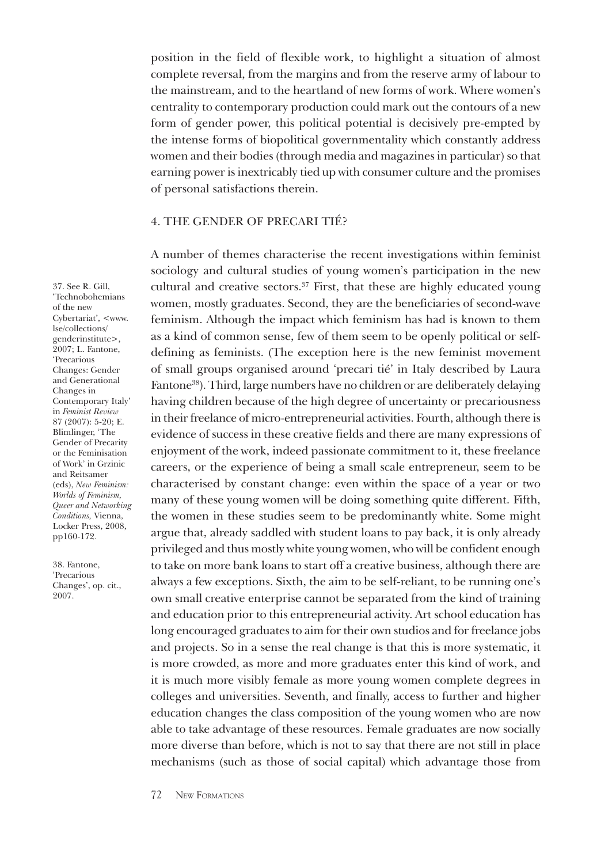position in the field of flexible work, to highlight a situation of almost complete reversal, from the margins and from the reserve army of labour to the mainstream, and to the heartland of new forms of work. Where women's centrality to contemporary production could mark out the contours of a new form of gender power, this political potential is decisively pre-empted by the intense forms of biopolitical governmentality which constantly address women and their bodies (through media and magazines in particular) so that earning power is inextricably tied up with consumer culture and the promises of personal satisfactions therein.

## 4. THE GENDER OF PRECARI TIÉ?

37. See R. Gill, 'Technobohemians of the new Cybertariat', <www. lse/collections/ genderinstitute>, 2007; L. Fantone, 'Precarious Changes: Gender and Generational Changes in Contemporary Italy' in *Feminist Review* 87 (2007): 5-20; E. Blimlinger, 'The Gender of Precarity or the Feminisation of Work' in Grzinic and Reitsamer (eds), *New Feminism: Worlds of Feminism, Queer and Networking Conditions,* Vienna, Locker Press, 2008, pp160-172.

38. Fantone, 'Precarious Changes', op. cit., 2007.

A number of themes characterise the recent investigations within feminist sociology and cultural studies of young women's participation in the new cultural and creative sectors.37 First, that these are highly educated young women, mostly graduates. Second, they are the beneficiaries of second-wave feminism. Although the impact which feminism has had is known to them as a kind of common sense, few of them seem to be openly political or selfdefining as feminists. (The exception here is the new feminist movement of small groups organised around 'precari tié' in Italy described by Laura Fantone<sup>38</sup>). Third, large numbers have no children or are deliberately delaying having children because of the high degree of uncertainty or precariousness in their freelance of micro-entrepreneurial activities. Fourth, although there is evidence of success in these creative fields and there are many expressions of enjoyment of the work, indeed passionate commitment to it, these freelance careers, or the experience of being a small scale entrepreneur, seem to be characterised by constant change: even within the space of a year or two many of these young women will be doing something quite different. Fifth, the women in these studies seem to be predominantly white. Some might argue that, already saddled with student loans to pay back, it is only already privileged and thus mostly white young women, who will be confident enough to take on more bank loans to start off a creative business, although there are always a few exceptions. Sixth, the aim to be self-reliant, to be running one's own small creative enterprise cannot be separated from the kind of training and education prior to this entrepreneurial activity. Art school education has long encouraged graduates to aim for their own studios and for freelance jobs and projects. So in a sense the real change is that this is more systematic, it is more crowded, as more and more graduates enter this kind of work, and it is much more visibly female as more young women complete degrees in colleges and universities. Seventh, and finally, access to further and higher education changes the class composition of the young women who are now able to take advantage of these resources. Female graduates are now socially more diverse than before, which is not to say that there are not still in place mechanisms (such as those of social capital) which advantage those from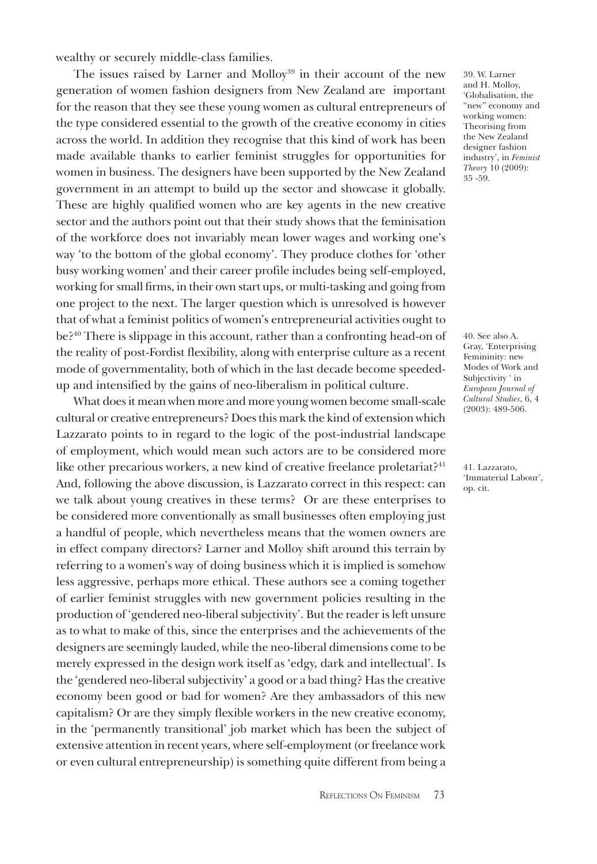wealthy or securely middle-class families.

The issues raised by Larner and Molloy<sup>39</sup> in their account of the new generation of women fashion designers from New Zealand are important for the reason that they see these young women as cultural entrepreneurs of the type considered essential to the growth of the creative economy in cities across the world. In addition they recognise that this kind of work has been made available thanks to earlier feminist struggles for opportunities for women in business. The designers have been supported by the New Zealand government in an attempt to build up the sector and showcase it globally. These are highly qualified women who are key agents in the new creative sector and the authors point out that their study shows that the feminisation of the workforce does not invariably mean lower wages and working one's way 'to the bottom of the global economy'. They produce clothes for 'other busy working women' and their career profile includes being self-employed, working for small firms, in their own start ups, or multi-tasking and going from one project to the next. The larger question which is unresolved is however that of what a feminist politics of women's entrepreneurial activities ought to be?40 There is slippage in this account, rather than a confronting head-on of the reality of post-Fordist flexibility, along with enterprise culture as a recent mode of governmentality, both of which in the last decade become speededup and intensified by the gains of neo-liberalism in political culture.

What does it mean when more and more young women become small-scale cultural or creative entrepreneurs? Does this mark the kind of extension which Lazzarato points to in regard to the logic of the post-industrial landscape of employment, which would mean such actors are to be considered more like other precarious workers, a new kind of creative freelance proletariat?<sup>41</sup> And, following the above discussion, is Lazzarato correct in this respect: can we talk about young creatives in these terms? Or are these enterprises to be considered more conventionally as small businesses often employing just a handful of people, which nevertheless means that the women owners are in effect company directors? Larner and Molloy shift around this terrain by referring to a women's way of doing business which it is implied is somehow less aggressive, perhaps more ethical. These authors see a coming together of earlier feminist struggles with new government policies resulting in the production of 'gendered neo-liberal subjectivity'. But the reader is left unsure as to what to make of this, since the enterprises and the achievements of the designers are seemingly lauded, while the neo-liberal dimensions come to be merely expressed in the design work itself as 'edgy, dark and intellectual'. Is the 'gendered neo-liberal subjectivity' a good or a bad thing? Has the creative economy been good or bad for women? Are they ambassadors of this new capitalism? Or are they simply flexible workers in the new creative economy, in the 'permanently transitional' job market which has been the subject of extensive attention in recent years, where self-employment (or freelance work or even cultural entrepreneurship) is something quite different from being a

39. W. Larner and H. Molloy, 'Globalisation, the "new" economy and working women: Theorising from the New Zealand designer fashion industry', in *Feminist Theory* 10 (2009): 35 -59.

40. See also A. Gray, 'Enterprising Femininity: new Modes of Work and Subjectivity ' in *European Journal of Cultural Studies*, 6, 4 (2003): 489-506.

41. Lazzarato, 'Immaterial Labour', op. cit.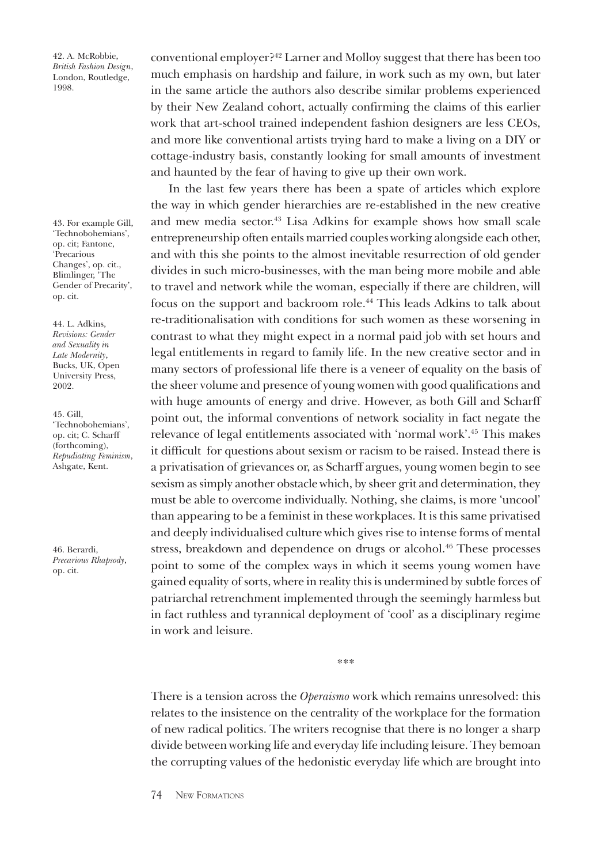42. A. McRobbie, *British Fashion Design*, London, Routledge, 1998.

43. For example Gill, 'Technobohemians', op. cit; Fantone, 'Precarious Changes', op. cit., Blimlinger, 'The Gender of Precarity', op. cit.

44. L. Adkins, *Revisions: Gender and Sexuality in Late Modernity*, Bucks, UK, Open University Press, 2002.

45. Gill, 'Technobohemians', op. cit; C. Scharff (forthcoming), *Repudiating Feminism*, Ashgate, Kent.

46. Berardi, *Precarious Rhapsody*, op. cit.

conventional employer?42 Larner and Molloy suggest that there has been too much emphasis on hardship and failure, in work such as my own, but later in the same article the authors also describe similar problems experienced by their New Zealand cohort, actually confirming the claims of this earlier work that art-school trained independent fashion designers are less CEOs, and more like conventional artists trying hard to make a living on a DIY or cottage-industry basis, constantly looking for small amounts of investment and haunted by the fear of having to give up their own work.

In the last few years there has been a spate of articles which explore the way in which gender hierarchies are re-established in the new creative and mew media sector.<sup>43</sup> Lisa Adkins for example shows how small scale entrepreneurship often entails married couples working alongside each other, and with this she points to the almost inevitable resurrection of old gender divides in such micro-businesses, with the man being more mobile and able to travel and network while the woman, especially if there are children, will focus on the support and backroom role.44 This leads Adkins to talk about re-traditionalisation with conditions for such women as these worsening in contrast to what they might expect in a normal paid job with set hours and legal entitlements in regard to family life. In the new creative sector and in many sectors of professional life there is a veneer of equality on the basis of the sheer volume and presence of young women with good qualifications and with huge amounts of energy and drive. However, as both Gill and Scharff point out, the informal conventions of network sociality in fact negate the relevance of legal entitlements associated with 'normal work'.45 This makes it difficult for questions about sexism or racism to be raised. Instead there is a privatisation of grievances or, as Scharff argues, young women begin to see sexism as simply another obstacle which, by sheer grit and determination, they must be able to overcome individually. Nothing, she claims, is more 'uncool' than appearing to be a feminist in these workplaces. It is this same privatised and deeply individualised culture which gives rise to intense forms of mental stress, breakdown and dependence on drugs or alcohol.<sup>46</sup> These processes point to some of the complex ways in which it seems young women have gained equality of sorts, where in reality this is undermined by subtle forces of patriarchal retrenchment implemented through the seemingly harmless but in fact ruthless and tyrannical deployment of 'cool' as a disciplinary regime in work and leisure.

\*\*\*

There is a tension across the *Operaismo* work which remains unresolved: this relates to the insistence on the centrality of the workplace for the formation of new radical politics. The writers recognise that there is no longer a sharp divide between working life and everyday life including leisure. They bemoan the corrupting values of the hedonistic everyday life which are brought into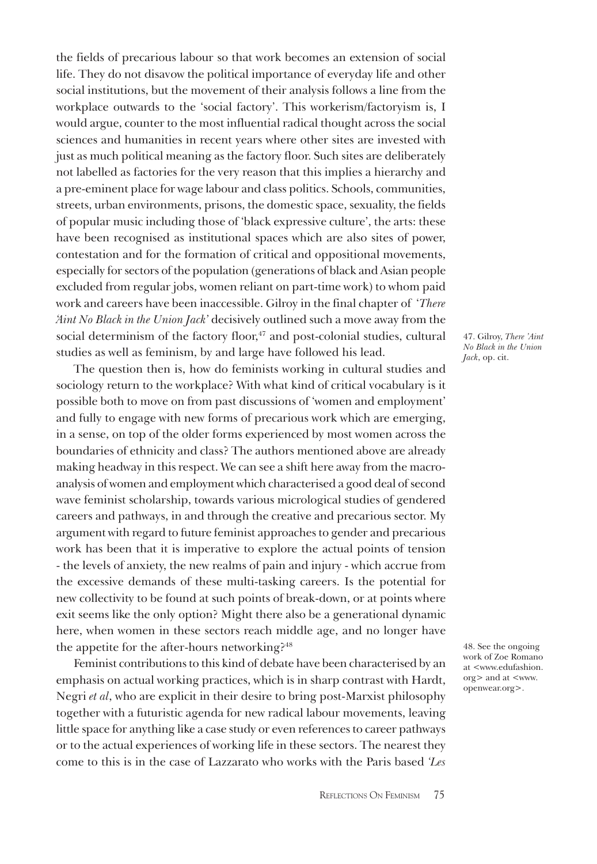the fields of precarious labour so that work becomes an extension of social life. They do not disavow the political importance of everyday life and other social institutions, but the movement of their analysis follows a line from the workplace outwards to the 'social factory'. This workerism/factoryism is, I would argue, counter to the most influential radical thought across the social sciences and humanities in recent years where other sites are invested with just as much political meaning as the factory floor. Such sites are deliberately not labelled as factories for the very reason that this implies a hierarchy and a pre-eminent place for wage labour and class politics. Schools, communities, streets, urban environments, prisons, the domestic space, sexuality, the fields of popular music including those of 'black expressive culture', the arts: these have been recognised as institutional spaces which are also sites of power, contestation and for the formation of critical and oppositional movements, especially for sectors of the population (generations of black and Asian people excluded from regular jobs, women reliant on part-time work) to whom paid work and careers have been inaccessible. Gilroy in the final chapter of '*There 'Aint No Black in the Union Jack'* decisively outlined such a move away from the social determinism of the factory floor,<sup>47</sup> and post-colonial studies, cultural studies as well as feminism, by and large have followed his lead.

The question then is, how do feminists working in cultural studies and sociology return to the workplace? With what kind of critical vocabulary is it possible both to move on from past discussions of 'women and employment' and fully to engage with new forms of precarious work which are emerging, in a sense, on top of the older forms experienced by most women across the boundaries of ethnicity and class? The authors mentioned above are already making headway in this respect. We can see a shift here away from the macroanalysis of women and employment which characterised a good deal of second wave feminist scholarship, towards various micrological studies of gendered careers and pathways, in and through the creative and precarious sector. My argument with regard to future feminist approaches to gender and precarious work has been that it is imperative to explore the actual points of tension - the levels of anxiety, the new realms of pain and injury - which accrue from the excessive demands of these multi-tasking careers. Is the potential for new collectivity to be found at such points of break-down, or at points where exit seems like the only option? Might there also be a generational dynamic here, when women in these sectors reach middle age, and no longer have the appetite for the after-hours networking?48

Feminist contributions to this kind of debate have been characterised by an emphasis on actual working practices, which is in sharp contrast with Hardt, Negri *et al*, who are explicit in their desire to bring post-Marxist philosophy together with a futuristic agenda for new radical labour movements, leaving little space for anything like a case study or even references to career pathways or to the actual experiences of working life in these sectors. The nearest they come to this is in the case of Lazzarato who works with the Paris based *'Les* 

47. Gilroy, *There 'Aint No Black in the Union Jack*, op. cit.

48. See the ongoing work of Zoe Romano at <www.edufashion. org> and at <www. openwear.org>.